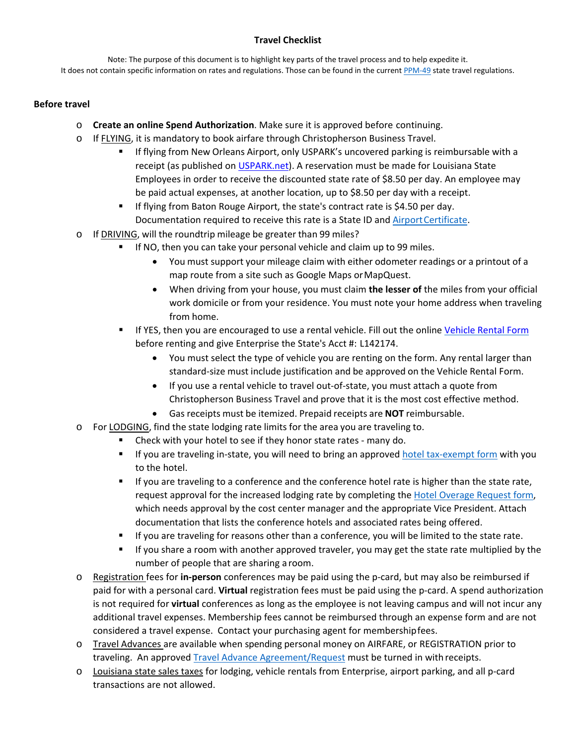# **Travel Checklist**

Note: The purpose of this document is to highlight key parts of the travel process and to help expedite it. It does not contain specific information on rates and regulations. Those can be found in the curren[t PPM-49](http://www.doa.la.gov/Pages/osp/Travel/travelPolicy.aspx) state travel regulations.

## **Before travel**

- o **Create an online Spend Authorization**. Make sure it is approved before continuing.
- o If FLYING, it is mandatory to book airfare through Christopherson Business Travel.
	- **If flying from New Orleans Airport, only USPARK's uncovered parking is reimbursable with a** receipt (as published on [USPARK.net\)](https://www.uspark.net/locations/veterans/reservations/louisiana-state-employees-reservation-form/). A reservation must be made for Louisiana State Employees in order to receive the discounted state rate of \$8.50 per day. An employee may be paid actual expenses, at another location, up to \$8.50 per day with a receipt.
	- **If flying from Baton Rouge Airport, the state's contract rate is \$4.50 per day.** Documentation required to receive this rate is a State ID and Airport Certificate.
- o If DRIVING, will the roundtrip mileage be greater than 99 miles?
	- If NO, then you can take your personal vehicle and claim up to 99 miles.
		- You must support your mileage claim with either odometer readings or a printout of a map route from a site such as Google Maps or MapQuest.
		- When driving from your house, you must claim **the lesser of** the miles from your official work domicile or from your residence. You must note your home address when traveling from home.
	- **IF YES, then you are encouraged to use a rental vehicle. Fill out the onlin[e Vehicle Rental Form](http://www.southeastern.edu/admin/controller/facultystaff/travel/VehicleRentalForm2018.pdf)** before renting and give Enterprise the State's Acct #: L142174.
		- You must select the type of vehicle you are renting on the form. Any rental larger than standard-size must include justification and be approved on the Vehicle Rental Form.
		- If you use a rental vehicle to travel out-of-state, you must attach a quote from Christopherson Business Travel and prove that it is the most cost effective method.
		- Gas receipts must be itemized. Prepaid receipts are **NOT** reimbursable.
- o For LODGING, find the state lodging rate limits for the area you are traveling to.
	- Check with your hotel to see if they honor state rates many do.
	- If you are traveling in-state, you will need to bring an approved [hotel tax-exempt form](http://www.southeastern.edu/admin/controller/facultystaff/travel/assets/TravelTaxExemptCert.pdf) with you to the hotel.
	- **If you are traveling to a conference and the conference hotel rate is higher than the state rate,** request approval for the increased lodging rate by completing the [Hotel Overage Request form,](http://www.southeastern.edu/admin/controller/facultystaff/travel/assets/HotelOverageRequest.pdf) which needs approval by the cost center manager and the appropriate Vice President. Attach documentation that lists the conference hotels and associated rates being offered.
	- If you are traveling for reasons other than a conference, you will be limited to the state rate.
	- If you share a room with another approved traveler, you may get the state rate multiplied by the number of people that are sharing a room.
- o Registration fees for **in-person** conferences may be paid using the p-card, but may also be reimbursed if paid for with a personal card. **Virtual** registration fees must be paid using the p-card. A spend authorization is not required for **virtual** conferences as long as the employee is not leaving campus and will not incur any additional travel expenses. Membership fees cannot be reimbursed through an expense form and are not considered a travel expense. Contact your purchasing agent for membershipfees.
- o Travel Advances are available when spending personal money on AIRFARE, or REGISTRATION prior to traveling. An approve[d Travel Advance Agreement/Request](http://www.southeastern.edu/admin/controller/facultystaff/forms/travel_adv_req_final.pdf) must be turned in with receipts.
- o Louisiana state sales taxes for lodging, vehicle rentals from Enterprise, airport parking, and all p-card transactions are not allowed.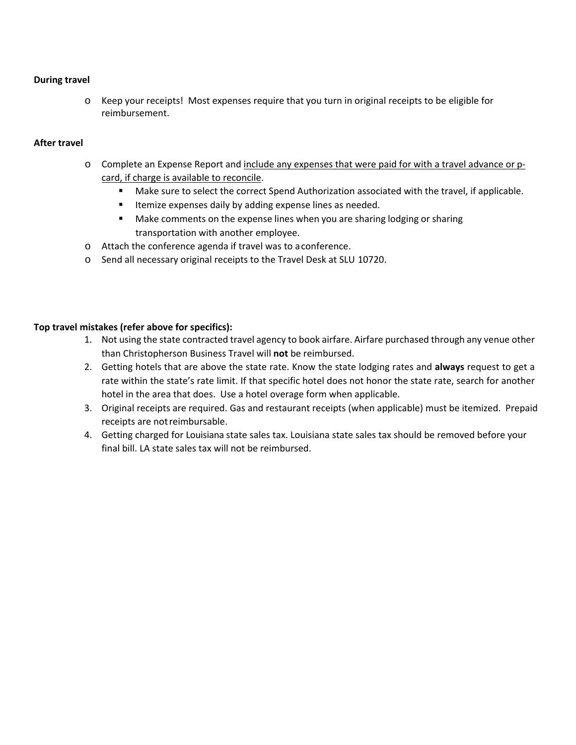### **During travel**

o Keep your receipts! Most expenses require that you turn in original receipts to be eligible for reimbursement.

#### **After travel**

- o Complete an Expense Report and include any expenses that were paid for with a travel advance or pcard, if charge is available to reconcile.
	- **Make sure to select the correct Spend Authorization associated with the travel, if applicable.**
	- **If the interprent is ally by adding expense lines as needed.**
	- **Make comments on the expense lines when you are sharing lodging or sharing** transportation with another employee.
- o Attach the conference agenda if travel was to aconference.
- o Send all necessary original receipts to the Travel Desk at SLU 10720.

## **Top travel mistakes (refer above for specifics):**

- 1. Not using the state contracted travel agency to book airfare. Airfare purchased through any venue other than Christopherson Business Travel will **not** be reimbursed.
- 2. Getting hotels that are above the state rate. Know the state lodging rates and **always** request to get a rate within the state's rate limit. If that specific hotel does not honor the state rate, search for another hotel in the area that does. Use a hotel overage form when applicable.
- 3. Original receipts are required. Gas and restaurant receipts (when applicable) must be itemized. Prepaid receipts are notreimbursable.
- 4. Getting charged for Louisiana state sales tax. Louisiana state sales tax should be removed before your final bill. LA state sales tax will not be reimbursed.